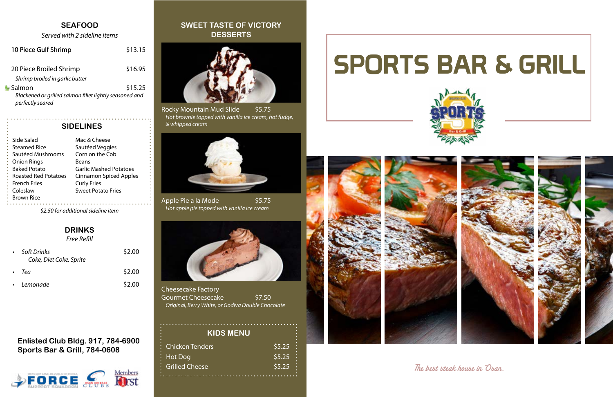



The best steak house in Osan.

Rocky Mountain Mud Slide \$5.75 Hot brownie topped with vanilla ice cream, hot fudge, & whipped cream

Apple Pie a la Mode \$5.75 Hot apple pie topped with vanilla ice cream



Cheesecake Factory Gourmet Cheesecake \$7.50 Original, Berry White, or Godiva Double Chocolate

# **SWEET TASTE OF VICTORY DESSERTS**



| Side Salad                  | Mac & Cheese             |
|-----------------------------|--------------------------|
|                             |                          |
| <b>Steamed Rice</b>         | Sautéed Veggies          |
| Sautéed Mushrooms           | Corn on the Cob          |
| <b>Onion Rings</b>          | Beans                    |
| <b>Baked Potato</b>         | <b>Garlic Mashed Po</b>  |
| <b>Roasted Red Potatoes</b> | <b>Cinnamon Spiced</b>   |
| <b>French Fries</b>         | <b>Curly Fries</b>       |
| Coleslaw                    | <b>Sweet Potato Frie</b> |
| <b>Brown Rice</b>           |                          |
|                             |                          |

| oluc balad                  | ויומג ש כווככאכ               |
|-----------------------------|-------------------------------|
| Steamed Rice                | Sautéed Veggies               |
| Sautéed Mushrooms           | Corn on the Cob               |
| Onion Rings                 | <b>Beans</b>                  |
| <b>Baked Potato</b>         | <b>Garlic Mashed Potatoes</b> |
| <b>Roasted Red Potatoes</b> | <b>Cinnamon Spiced Apples</b> |
| French Fries                | <b>Curly Fries</b>            |
| Coleslaw                    | <b>Sweet Potato Fries</b>     |
| Brown Rice                  |                               |
|                             |                               |

### **SIDELINES**

| <b>Chicken Tenders</b> | \$5.25 |
|------------------------|--------|
| Hot Dog                | \$5.25 |
| <b>Grilled Cheese</b>  | \$5.25 |
|                        |        |





### **KIDS MENU**

### **Enlisted Club Bldg. 917, 784-6900 Sports Bar & Grill, 784-0608**



### **DRINKS** Free Refill

| $\bullet$ | Soft Drinks<br>Coke, Diet Coke, Sprite | \$2.00 |
|-----------|----------------------------------------|--------|
| $\bullet$ | Tea                                    | \$2.00 |
|           | • Lemonade                             | \$2.00 |

### **SEAFOOD**

Served with 2 sideline items

\$2.50 for additional sideline item

| 10 Piece Gulf Shrimp                                                                  | \$13.15 |
|---------------------------------------------------------------------------------------|---------|
| 20 Piece Broiled Shrimp<br>Shrimp broiled in garlic butter                            | \$16.95 |
| Salmon<br>Blackened or grilled salmon fillet lightly seasoned and<br>perfectly seared | \$15.25 |